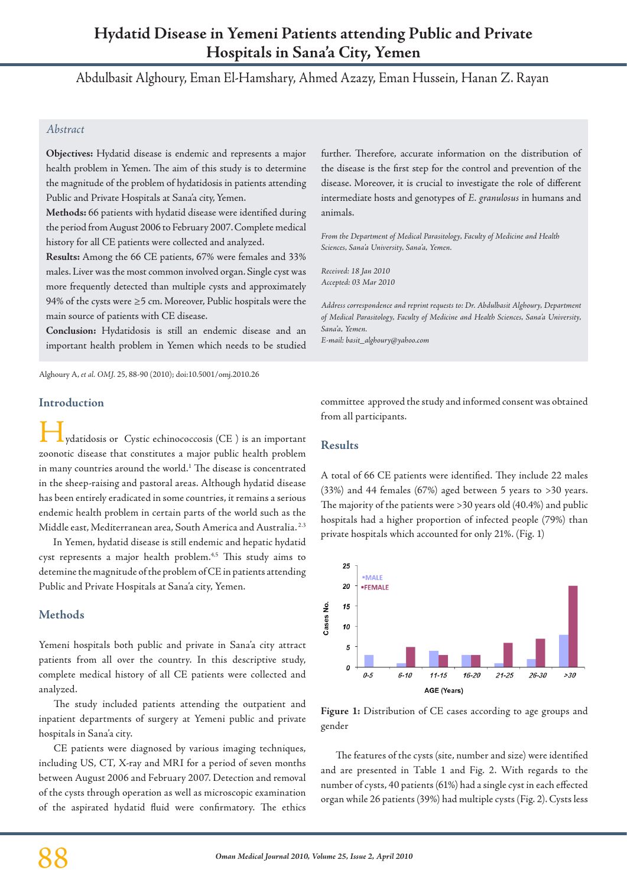# **Hydatid Disease in Yemeni Patients attending Public and Private Hospitals in Sana'a City, Yemen**

Abdulbasit Alghoury, Eman El-Hamshary, Ahmed Azazy, Eman Hussein, Hanan Z. Rayan

### *Abstract*

**Objectives:** Hydatid disease is endemic and represents a major health problem in Yemen. The aim of this study is to determine the magnitude of the problem of hydatidosis in patients attending Public and Private Hospitals at Sana'a city, Yemen.

**Methods:** 66 patients with hydatid disease were identified during the period from August 2006 to February 2007. Complete medical history for all CE patients were collected and analyzed.

**Results:** Among the 66 CE patients, 67% were females and 33% males. Liver was the most common involved organ. Single cyst was more frequently detected than multiple cysts and approximately 94% of the cysts were  $\geq$ 5 cm. Moreover, Public hospitals were the main source of patients with CE disease.

**Conclusion:** Hydatidosis is still an endemic disease and an important health problem in Yemen which needs to be studied

Alghoury A, *et al. OMJ.* 25, 88-90 (2010); doi:10.5001/omj.2010.26

### **Introduction**

ydatidosis or Cystic echinococcosis (CE) is an important zoonotic disease that constitutes a major public health problem in many countries around the world.<sup>1</sup> The disease is concentrated in the sheep-raising and pastoral areas. Although hydatid disease has been entirely eradicated in some countries, it remains a serious endemic health problem in certain parts of the world such as the Middle east, Mediterranean area, South America and Australia. 2.3

 In Yemen, hydatid disease is still endemic and hepatic hydatid cyst represents a major health problem.<sup>4,5</sup> This study aims to detemine the magnitude of the problem of CE in patients attending Public and Private Hospitals at Sana'a city, Yemen.

# **Methods**

Yemeni hospitals both public and private in Sana'a city attract patients from all over the country. In this descriptive study, complete medical history of all CE patients were collected and analyzed.

The study included patients attending the outpatient and inpatient departments of surgery at Yemeni public and private hospitals in Sana'a city.

CE patients were diagnosed by various imaging techniques, including US, CT, X-ray and MRI for a period of seven months between August 2006 and February 2007. Detection and removal of the cysts through operation as well as microscopic examination of the aspirated hydatid fluid were confirmatory. The ethics further. Therefore, accurate information on the distribution of the disease is the first step for the control and prevention of the disease. Moreover, it is crucial to investigate the role of different intermediate hosts and genotypes of *E. granulosus* in humans and animals.

*From the Department of Medical Parasitology, Faculty of Medicine and Health Sciences, Sana'a University, Sana'a, Yemen.*

*Received: 18 Jan 2010 Accepted: 03 Mar 2010*

*Address correspondence and reprint requests to: Dr. Abdulbasit Alghoury, Department of Medical Parasitology, Faculty of Medicine and Health Sciences, Sana'a University, Sana'a, Yemen. E-mail: basit\_alghoury@yahoo.com*

committee approved the study and informed consent was obtained from all participants.

### **Results**

A total of 66 CE patients were identified. They include 22 males (33%) and 44 females (67%) aged between 5 years to >30 years. The majority of the patients were >30 years old (40.4%) and public hospitals had a higher proportion of infected people (79%) than private hospitals which accounted for only 21%. (Fig. 1)



**Figure 1:** Distribution of CE cases according to age groups and gender

The features of the cysts (site, number and size) were identified and are presented in Table 1 and Fig. 2. With regards to the number of cysts, 40 patients (61%) had a single cyst in each effected organ while 26 patients (39%) had multiple cysts (Fig. 2). Cysts less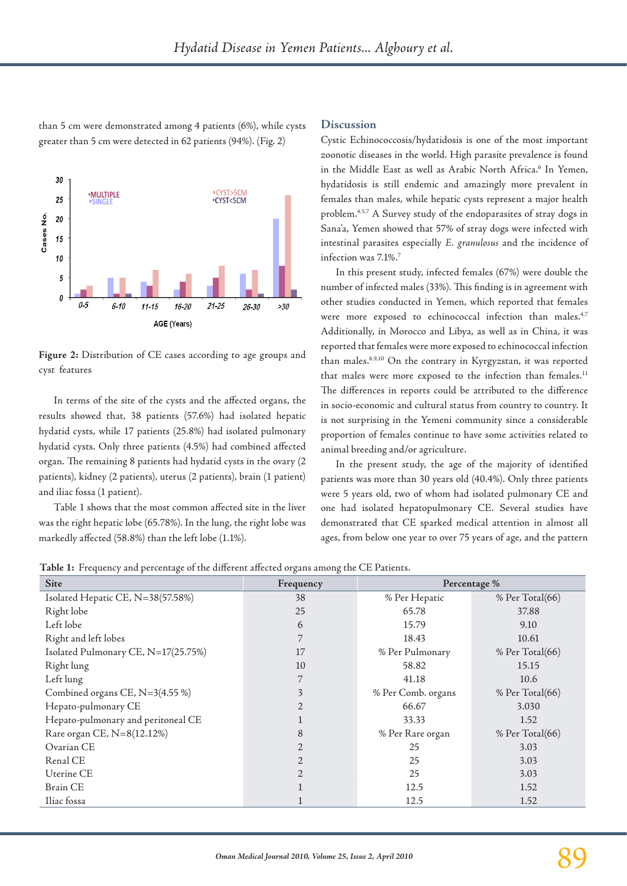than 5 cm were demonstrated among 4 patients (6%), while cysts greater than 5 cm were detected in 62 patients (94%). (Fig. 2)

#### 30 ·MULTIPLE 25 ·CYST<5CM 20 Cases No 15  $10$ 5  $\theta$  $0 - 5$  $6 - 10$  $21 - 25$  $11 - 15$  $16 - 21$  $>30$  $26 - 30$ AGE (Years)

**Figure 2:** Distribution of CE cases according to age groups and cyst features

In terms of the site of the cysts and the affected organs, the results showed that, 38 patients (57.6%) had isolated hepatic hydatid cysts, while 17 patients (25.8%) had isolated pulmonary hydatid cysts. Only three patients (4.5%) had combined affected organ. The remaining 8 patients had hydatid cysts in the ovary (2 patients), kidney (2 patients), uterus (2 patients), brain (1 patient) and iliac fossa (1 patient).

Table 1 shows that the most common affected site in the liver was the right hepatic lobe (65.78%). In the lung, the right lobe was markedly affected (58.8%) than the left lobe (1.1%).

### **Discussion**

Cystic Echinococcosis/hydatidosis is one of the most important zoonotic diseases in the world. High parasite prevalence is found in the Middle East as well as Arabic North Africa.<sup>6</sup> In Yemen, hydatidosis is still endemic and amazingly more prevalent in females than males, while hepatic cysts represent a major health problem.4.5.7 A Survey study of the endoparasites of stray dogs in Sana'a, Yemen showed that 57% of stray dogs were infected with intestinal parasites especially *E. granulosus* and the incidence of infection was 7.1%.7

In this present study, infected females (67%) were double the number of infected males (33%). This finding is in agreement with other studies conducted in Yemen, which reported that females were more exposed to echinococcal infection than males.<sup>4,7</sup> Additionally, in Morocco and Libya, as well as in China, it was reported that females were more exposed to echinococcal infection than males.8,9,10 On the contrary in Kyrgyzstan, it was reported that males were more exposed to the infection than females.<sup>11</sup> The differences in reports could be attributed to the difference in socio-economic and cultural status from country to country. It is not surprising in the Yemeni community since a considerable proportion of females continue to have some activities related to animal breeding and/or agriculture.

In the present study, the age of the majority of identified patients was more than 30 years old (40.4%). Only three patients were 5 years old, two of whom had isolated pulmonary CE and one had isolated hepatopulmonary CE. Several studies have demonstrated that CE sparked medical attention in almost all ages, from below one year to over 75 years of age, and the pattern

**Table 1:** Frequency and percentage of the different affected organs among the CE Patients.

| <b>Site</b>                         | Frequency      | Percentage %       |                 |
|-------------------------------------|----------------|--------------------|-----------------|
| Isolated Hepatic CE, N=38(57.58%)   | 38             | % Per Hepatic      | % Per Total(66) |
| Right lobe                          | 25             | 65.78              | 37.88           |
| Left lobe                           | 6              | 15.79              | 9.10            |
| Right and left lobes                | 7              | 18.43              | 10.61           |
| Isolated Pulmonary CE, N=17(25.75%) | 17             | % Per Pulmonary    | % Per Total(66) |
| Right lung                          | 10             | 58.82              | 15.15           |
| Left lung                           |                | 41.18              | 10.6            |
| Combined organs CE, N=3(4.55 %)     | 3              | % Per Comb. organs | % Per Total(66) |
| Hepato-pulmonary CE                 | $\overline{2}$ | 66.67              | 3.030           |
| Hepato-pulmonary and peritoneal CE  |                | 33.33              | 1.52            |
| Rare organ CE, N=8(12.12%)          | 8              | % Per Rare organ   | % Per Total(66) |
| Ovarian CE                          | $\overline{2}$ | 25                 | 3.03            |
| Renal CE                            | 2              | 25                 | 3.03            |
| Uterine CE                          | 2.             | 25                 | 3.03            |
| <b>Brain CE</b>                     |                | 12.5               | 1.52            |
| Iliac fossa                         |                | 12.5               | 1.52            |